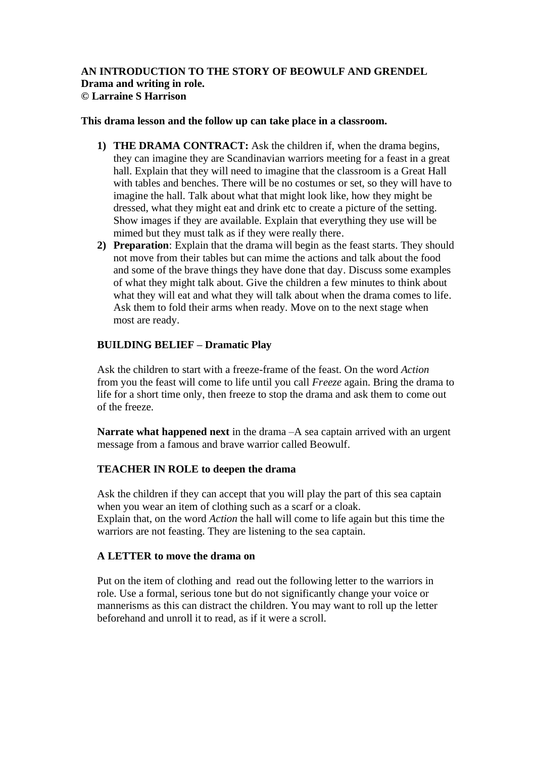## **AN INTRODUCTION TO THE STORY OF BEOWULF AND GRENDEL Drama and writing in role. © Larraine S Harrison**

### **This drama lesson and the follow up can take place in a classroom.**

- **1) THE DRAMA CONTRACT:** Ask the children if, when the drama begins, they can imagine they are Scandinavian warriors meeting for a feast in a great hall. Explain that they will need to imagine that the classroom is a Great Hall with tables and benches. There will be no costumes or set, so they will have to imagine the hall. Talk about what that might look like, how they might be dressed, what they might eat and drink etc to create a picture of the setting. Show images if they are available. Explain that everything they use will be mimed but they must talk as if they were really there.
- **2) Preparation**: Explain that the drama will begin as the feast starts. They should not move from their tables but can mime the actions and talk about the food and some of the brave things they have done that day. Discuss some examples of what they might talk about. Give the children a few minutes to think about what they will eat and what they will talk about when the drama comes to life. Ask them to fold their arms when ready. Move on to the next stage when most are ready.

# **BUILDING BELIEF – Dramatic Play**

Ask the children to start with a freeze-frame of the feast. On the word *Action*  from you the feast will come to life until you call *Freeze* again. Bring the drama to life for a short time only, then freeze to stop the drama and ask them to come out of the freeze.

**Narrate what happened next** in the drama –A sea captain arrived with an urgent message from a famous and brave warrior called Beowulf.

# **TEACHER IN ROLE to deepen the drama**

Ask the children if they can accept that you will play the part of this sea captain when you wear an item of clothing such as a scarf or a cloak. Explain that, on the word *Action* the hall will come to life again but this time the warriors are not feasting. They are listening to the sea captain.

### **A LETTER to move the drama on**

Put on the item of clothing and read out the following letter to the warriors in role. Use a formal, serious tone but do not significantly change your voice or mannerisms as this can distract the children. You may want to roll up the letter beforehand and unroll it to read, as if it were a scroll.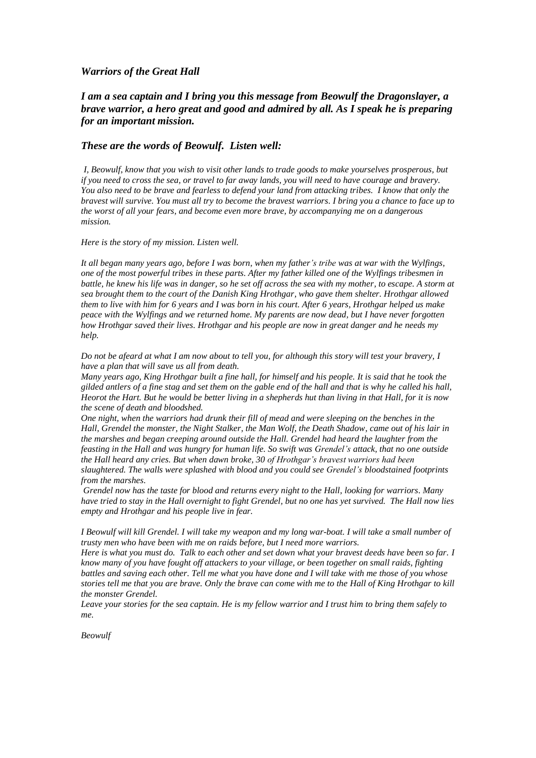### *Warriors of the Great Hall*

## *I am a sea captain and I bring you this message from Beowulf the Dragonslayer, a brave warrior, a hero great and good and admired by all. As I speak he is preparing for an important mission.*

### *These are the words of Beowulf. Listen well:*

*I, Beowulf, know that you wish to visit other lands to trade goods to make yourselves prosperous, but if you need to cross the sea, or travel to far away lands, you will need to have courage and bravery. You also need to be brave and fearless to defend your land from attacking tribes. I know that only the bravest will survive. You must all try to become the bravest warriors. I bring you a chance to face up to the worst of all your fears, and become even more brave, by accompanying me on a dangerous mission.* 

#### *Here is the story of my mission. Listen well.*

*It all began many years ago, before I was born, when my father's tribe was at war with the Wylfings, one of the most powerful tribes in these parts. After my father killed one of the Wylfings tribesmen in battle, he knew his life was in danger, so he set off across the sea with my mother, to escape. A storm at sea brought them to the court of the Danish King Hrothgar, who gave them shelter. Hrothgar allowed them to live with him for 6 years and I was born in his court. After 6 years, Hrothgar helped us make peace with the Wylfings and we returned home. My parents are now dead, but I have never forgotten how Hrothgar saved their lives. Hrothgar and his people are now in great danger and he needs my help.* 

*Do not be afeard at what I am now about to tell you, for although this story will test your bravery, I have a plan that will save us all from death.* 

*Many years ago, King Hrothgar built a fine hall, for himself and his people. It is said that he took the gilded antlers of a fine stag and set them on the gable end of the hall and that is why he called his hall, Heorot the Hart. But he would be better living in a shepherds hut than living in that Hall, for it is now the scene of death and bloodshed.* 

*One night, when the warriors had drunk their fill of mead and were sleeping on the benches in the Hall, Grendel the monster, the Night Stalker, the Man Wolf, the Death Shadow, came out of his lair in the marshes and began creeping around outside the Hall. Grendel had heard the laughter from the feasting in the Hall and was hungry for human life. So swift was Grendel's attack, that no one outside the Hall heard any cries. But when dawn broke, 30 of Hrothgar's bravest warriors had been slaughtered. The walls were splashed with blood and you could see Grendel's bloodstained footprints from the marshes.*

*Grendel now has the taste for blood and returns every night to the Hall, looking for warriors. Many have tried to stay in the Hall overnight to fight Grendel, but no one has yet survived. The Hall now lies empty and Hrothgar and his people live in fear.* 

*I Beowulf will kill Grendel. I will take my weapon and my long war-boat. I will take a small number of trusty men who have been with me on raids before, but I need more warriors.*

*Here is what you must do. Talk to each other and set down what your bravest deeds have been so far. I know many of you have fought off attackers to your village, or been together on small raids, fighting battles and saving each other. Tell me what you have done and I will take with me those of you whose stories tell me that you are brave. Only the brave can come with me to the Hall of King Hrothgar to kill the monster Grendel.* 

*Leave your stories for the sea captain. He is my fellow warrior and I trust him to bring them safely to me.* 

*Beowulf*